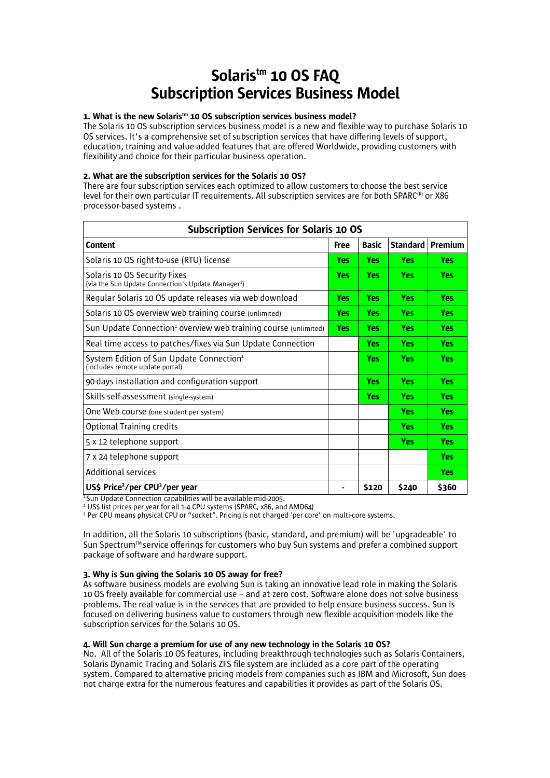# Solaristm 10 OS FAQ Subscription Services Business Model

# 1. What is the new Solaris<sup>tm</sup> 10 OS subscription services business model?

The Solaris 10 OS subscription services business model is a new and flexible way to purchase Solaris 10 OS services. It's a comprehensive set of subscription services that have differing levels of support, education, training and value-added features that are offered Worldwide, providing customers with flexibility and choice for their particular business operation.

#### 2. What are the subscription services for the Solaris 10 OS?

There are four subscription services each optimized to allow customers to choose the best service level for their own particular IT requirements. All subscription services are for both SPARC(®) or X86  $\,$ processor-based systems .

| <b>Subscription Services for Solaris 10 OS</b>                                                 |                          |              |            |            |  |  |  |
|------------------------------------------------------------------------------------------------|--------------------------|--------------|------------|------------|--|--|--|
| Content                                                                                        | Free                     | <b>Basic</b> | Standard   | Premium    |  |  |  |
| Solaris 10 OS right-to-use (RTU) license                                                       | <b>Yes</b>               | <b>Yes</b>   | <b>Yes</b> | <b>Yes</b> |  |  |  |
| Solaris 10 OS Security Fixes<br>(via the Sun Update Connection's Update Manager <sup>1</sup> ) | <b>Yes</b><br><b>Yes</b> |              | <b>Yes</b> | <b>Yes</b> |  |  |  |
| Regular Solaris 10 OS update releases via web download                                         | <b>Yes</b>               | <b>Yes</b>   | <b>Yes</b> | Yes        |  |  |  |
| Solaris 10 OS overview web training course (unlimited)                                         | Yes:                     | <b>Yes</b>   | <b>Yes</b> | Yes        |  |  |  |
| Sun Update Connection <sup>1</sup> overview web training course (unlimited)                    | <b>Yes</b>               | <b>Yes</b>   | <b>Yes</b> | Yes        |  |  |  |
| Real time access to patches/fixes via Sun Update Connection                                    |                          | Yes          | <b>Yes</b> | Yes        |  |  |  |
| System Edition of Sun Update Connection <sup>1</sup><br>(includes remote update portal)        |                          | <b>Yes</b>   | <b>Yes</b> | Yes        |  |  |  |
| 90-days installation and configuration support                                                 |                          | Yes          | <b>Yes</b> | Yes        |  |  |  |
| Skills self-assessment (single-system)                                                         |                          | <b>Yes</b>   | <b>Yes</b> | <b>Yes</b> |  |  |  |
| One Web course (one student per system)                                                        |                          |              | <b>Yes</b> | Yes:       |  |  |  |
| <b>Optional Training credits</b>                                                               |                          |              | <b>Yes</b> | Yes:       |  |  |  |
| 5 x 12 telephone support                                                                       |                          |              | <b>Yes</b> | Yes:       |  |  |  |
| 7 x 24 telephone support                                                                       |                          |              |            | <b>Yes</b> |  |  |  |
| <b>Additional services</b>                                                                     |                          |              |            | Yes:       |  |  |  |
| US\$ Price <sup>2</sup> /per CPU <sup>3</sup> /per year                                        |                          | \$120        | \$240      | \$360      |  |  |  |

 $1$ Sun Update Connection capabilities will be available mid-2005.

<sup>2</sup> US\$ list prices per year for all 1-4 CPU systems (SPARC, x86, and AMD64)

<sup>3</sup> Per CPU means physical CPU or "socket". Pricing is not charged 'per core' on multi-core systems.

In addition, all the Solaris 10 subscriptions (basic, standard, and premium) will be 'upgradeable' to Sun Spectrum™ service offerings for customers who buy Sun systems and prefer a combined support package of software and hardware support.

#### 3. Why is Sun giving the Solaris 10 OS away for free?

As software business models are evolving Sun is taking an innovative lead role in making the Solaris 10 OS freely available for commercial use – and at zero cost. Software alone does not solve business problems. The real value is in the services that are provided to help ensure business success. Sun is focused on delivering business value to customers through new flexible acquisition models like the subscription services for the Solaris 10 OS.

#### 4. Will Sun charge a premium for use of any new technology in the Solaris 10 OS?

No. All of the Solaris 10 OS features, including breakthrough technologies such as Solaris Containers, Solaris Dynamic Tracing and Solaris ZFS file system are included as a core part of the operating system. Compared to alternative pricing models from companies such as IBM and Microsoft, Sun does not charge extra for the numerous features and capabilities it provides as part of the Solaris OS.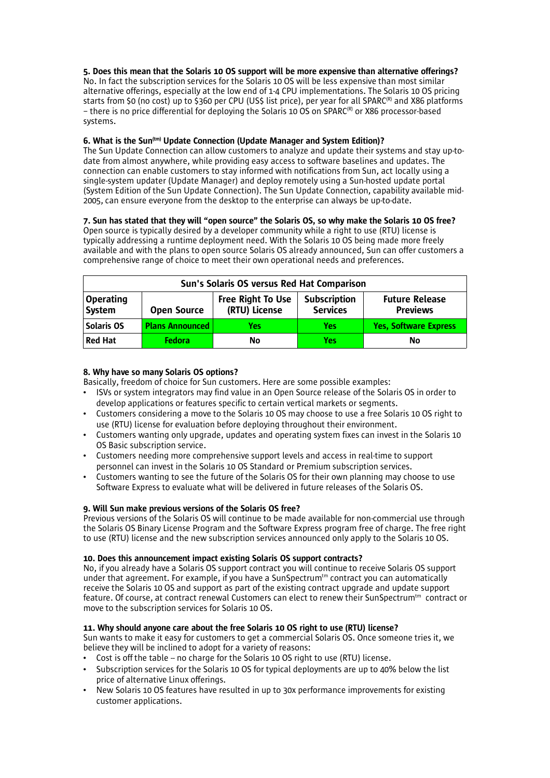# 5. Does this mean that the Solaris 10 OS support will be more expensive than alternative offerings?

No. In fact the subscription services for the Solaris 10 OS will be less expensive than most similar alternative offerings, especially at the low end of 1-4 CPU implementations. The Solaris 10 OS pricing starts from \$0 (no cost) up to \$360 per CPU (US\$ list price), per year for all SPARC® and X86 platforms - there is no price differential for deploying the Solaris 10 OS on SPARC<sup>(R)</sup> or X86 processor-based systems.

# 6. What is the Sun<sup>(tm)</sup> Update Connection (Update Manager and System Edition)?

The Sun Update Connection can allow customers to analyze and update their systems and stay up-todate from almost anywhere, while providing easy access to software baselines and updates. The connection can enable customers to stay informed with notifications from Sun, act locally using a single-system updater (Update Manager) and deploy remotely using a Sun-hosted update portal (System Edition of the Sun Update Connection). The Sun Update Connection, capability available mid-2005, can ensure everyone from the desktop to the enterprise can always be up-to-date.

# 7. Sun has stated that they will "open source" the Solaris OS, so why make the Solaris 10 OS free?

Open source is typically desired by a developer community while a right to use (RTU) license is typically addressing a runtime deployment need. With the Solaris 10 OS being made more freely available and with the plans to open source Solaris OS already announced, Sun can offer customers a comprehensive range of choice to meet their own operational needs and preferences.

| Sun's Solaris OS versus Red Hat Comparison |                        |                                           |                                        |                                          |  |  |
|--------------------------------------------|------------------------|-------------------------------------------|----------------------------------------|------------------------------------------|--|--|
| <b>Operating</b><br>System                 | <b>Open Source</b>     | <b>Free Right To Use</b><br>(RTU) License | <b>Subscription</b><br><b>Services</b> | <b>Future Release</b><br><b>Previews</b> |  |  |
| Solaris OS                                 | <b>Plans Announced</b> | Yes                                       | Yes                                    | <b>Yes, Software Express</b>             |  |  |
| <b>Red Hat</b>                             | <b>Fedora</b>          | No                                        | Yes                                    | No                                       |  |  |

# 8. Why have so many Solaris OS options?

Basically, freedom of choice for Sun customers. Here are some possible examples:

- ISVs or system integrators may find value in an Open Source release of the Solaris OS in order to develop applications or features specific to certain vertical markets or segments.
- Customers considering a move to the Solaris 10 OS may choose to use a free Solaris 10 OS right to use (RTU) license for evaluation before deploying throughout their environment.
- Customers wanting only upgrade, updates and operating system fixes can invest in the Solaris 10 OS Basic subscription service.
- Customers needing more comprehensive support levels and access in real-time to support personnel can invest in the Solaris 10 OS Standard or Premium subscription services.
- Customers wanting to see the future of the Solaris OS for their own planning may choose to use Software Express to evaluate what will be delivered in future releases of the Solaris OS.

# 9. Will Sun make previous versions of the Solaris OS free?

Previous versions of the Solaris OS will continue to be made available for non-commercial use through the Solaris OS Binary License Program and the Software Express program free of charge. The free right to use (RTU) license and the new subscription services announced only apply to the Solaris 10 OS.

# 10. Does this announcement impact existing Solaris OS support contracts?

No, if you already have a Solaris OS support contract you will continue to receive Solaris OS support under that agreement. For example, if you have a SunSpectrum $t<sup>tm</sup>$  contract you can automatically receive the Solaris 10 OS and support as part of the existing contract upgrade and update support feature. Of course, at contract renewal Customers can elect to renew their SunSpectrum<sup>tm</sup> contract or move to the subscription services for Solaris 10 OS.

# 11. Why should anyone care about the free Solaris 10 OS right to use (RTU) license?

Sun wants to make it easy for customers to get a commercial Solaris OS. Once someone tries it, we believe they will be inclined to adopt for a variety of reasons:

- Cost is off the table no charge for the Solaris 10 OS right to use (RTU) license.
- Subscription services for the Solaris 10 OS for typical deployments are up to 40% below the list price of alternative Linux offerings.
- New Solaris 10 OS features have resulted in up to 30x performance improvements for existing customer applications.